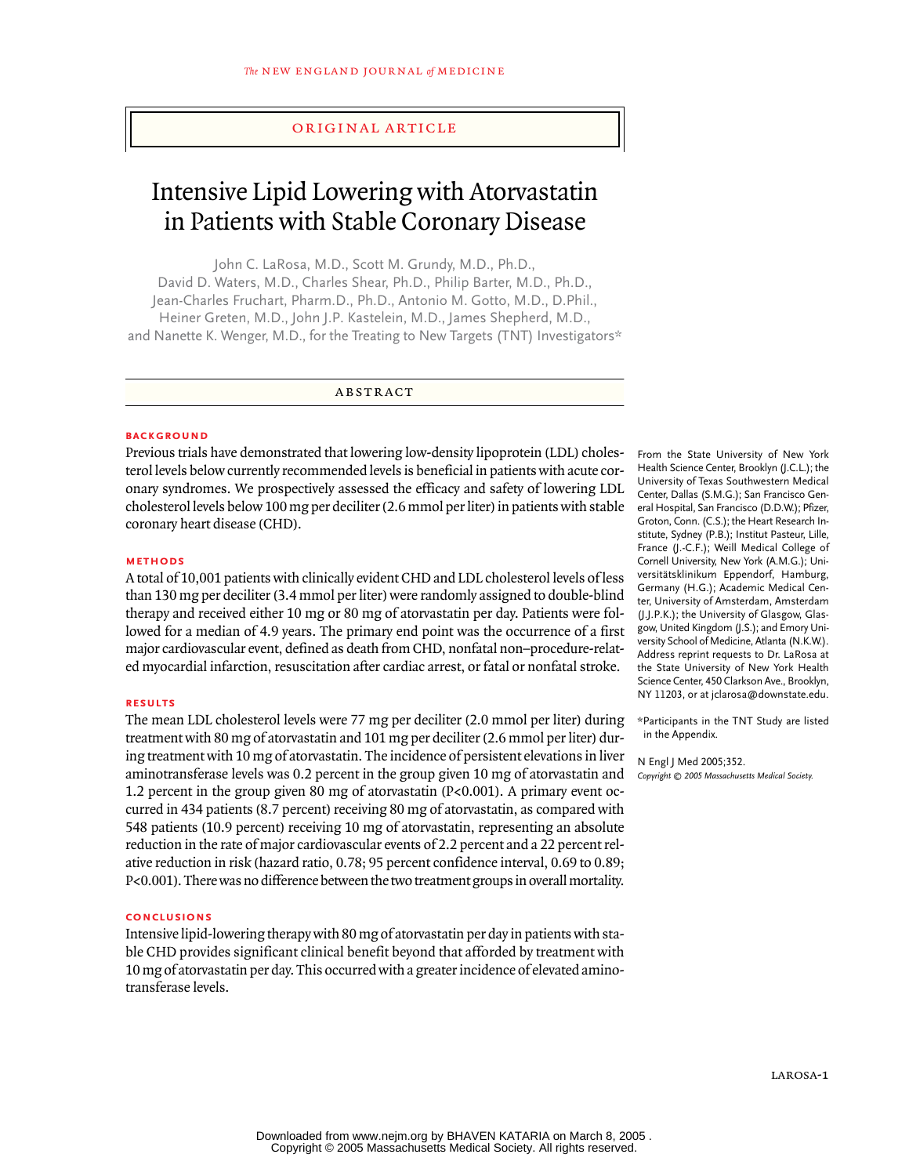# original article

# Intensive Lipid Lowering with Atorvastatin in Patients with Stable Coronary Disease

John C. LaRosa, M.D., Scott M. Grundy, M.D., Ph.D., David D. Waters, M.D., Charles Shear, Ph.D., Philip Barter, M.D., Ph.D., Jean-Charles Fruchart, Pharm.D., Ph.D., Antonio M. Gotto, M.D., D.Phil., Heiner Greten, M.D., John J.P. Kastelein, M.D., James Shepherd, M.D., and Nanette K. Wenger, M.D., for the Treating to New Targets (TNT) Investigators\*

## abstract

#### **BACKGROUND**

Previous trials have demonstrated that lowering low-density lipoprotein (LDL) cholesterol levels below currently recommended levels is beneficial in patients with acute coronary syndromes. We prospectively assessed the efficacy and safety of lowering LDL cholesterol levels below 100 mg per deciliter (2.6 mmol per liter) in patients with stable coronary heart disease (CHD).

## **methods**

A total of 10,001 patients with clinically evident CHD and LDL cholesterol levels of less than 130 mg per deciliter (3.4 mmol per liter) were randomly assigned to double-blind therapy and received either 10 mg or 80 mg of atorvastatin per day. Patients were followed for a median of 4.9 years. The primary end point was the occurrence of a first major cardiovascular event, defined as death from CHD, nonfatal non–procedure-related myocardial infarction, resuscitation after cardiac arrest, or fatal or nonfatal stroke.

## **results**

The mean LDL cholesterol levels were 77 mg per deciliter (2.0 mmol per liter) during treatment with 80 mg of atorvastatin and 101 mg per deciliter (2.6 mmol per liter) during treatment with 10 mg of atorvastatin. The incidence of persistent elevations in liver aminotransferase levels was 0.2 percent in the group given 10 mg of atorvastatin and 1.2 percent in the group given 80 mg of atorvastatin (P<0.001). A primary event occurred in 434 patients (8.7 percent) receiving 80 mg of atorvastatin, as compared with 548 patients (10.9 percent) receiving 10 mg of atorvastatin, representing an absolute reduction in the rate of major cardiovascular events of 2.2 percent and a 22 percent relative reduction in risk (hazard ratio, 0.78; 95 percent confidence interval, 0.69 to 0.89; P<0.001). There was no difference between the two treatment groups in overall mortality.

# **conclusions**

Intensive lipid-lowering therapy with 80 mg of atorvastatin per day in patients with stable CHD provides significant clinical benefit beyond that afforded by treatment with 10 mg of atorvastatin per day. This occurred with a greater incidence of elevated aminotransferase levels.

From the State University of New York Health Science Center, Brooklyn (J.C.L.); the University of Texas Southwestern Medical Center, Dallas (S.M.G.); San Francisco General Hospital, San Francisco (D.D.W.); Pfizer, Groton, Conn. (C.S.); the Heart Research Institute, Sydney (P.B.); Institut Pasteur, Lille, France (J.-C.F.); Weill Medical College of Cornell University, New York (A.M.G.); Universitätsklinikum Eppendorf, Hamburg, Germany (H.G.); Academic Medical Center, University of Amsterdam, Amsterdam (J.J.P.K.); the University of Glasgow, Glasgow, United Kingdom (J.S.); and Emory University School of Medicine, Atlanta (N.K.W.). Address reprint requests to Dr. LaRosa at the State University of New York Health Science Center, 450 Clarkson Ave., Brooklyn, NY 11203, or at jclarosa@downstate.edu.

\*Participants in the TNT Study are listed in the Appendix.

N Engl J Med 2005;352. *Copyright © 2005 Massachusetts Medical Society.*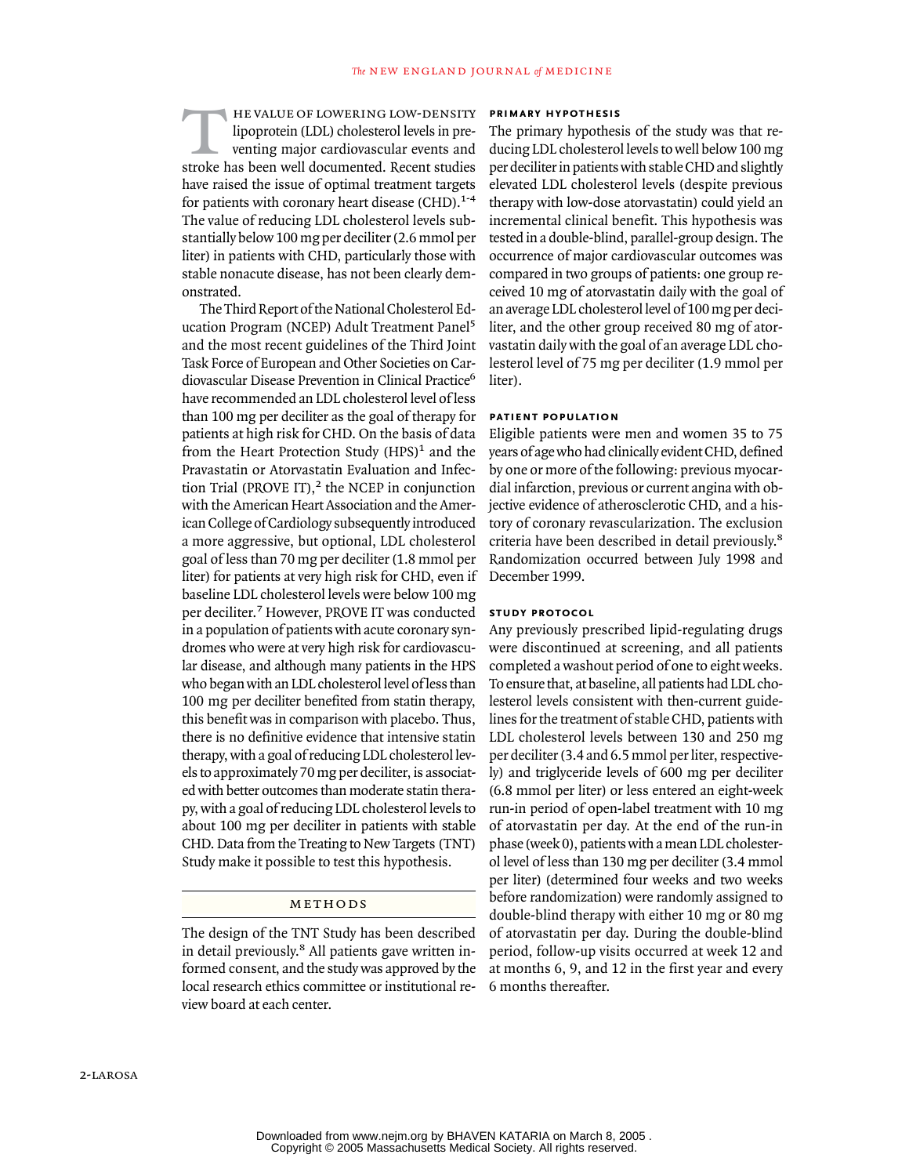he value of lowering low-density lipoprotein (LDL) cholesterol levels in preventing major cardiovascular events and stroke has been well documented. Recent studies have raised the issue of optimal treatment targets for patients with coronary heart disease  $(CHD)$ .<sup>1-4</sup> The value of reducing LDL cholesterol levels substantially below 100 mg per deciliter (2.6 mmol per liter) in patients with CHD, particularly those with stable nonacute disease, has not been clearly demonstrated.  $\overline{T}$ 

The Third Report of the National Cholesterol Education Program (NCEP) Adult Treatment Panel<sup>5</sup> and the most recent guidelines of the Third Joint Task Force of European and Other Societies on Cardiovascular Disease Prevention in Clinical Practice<sup>6</sup> have recommended an LDL cholesterol level of less than 100 mg per deciliter as the goal of therapy for patients at high risk for CHD. On the basis of data from the Heart Protection Study (HPS)<sup>1</sup> and the Pravastatin or Atorvastatin Evaluation and Infection Trial (PROVE IT),<sup>2</sup> the NCEP in conjunction with the American Heart Association and the American College of Cardiology subsequently introduced a more aggressive, but optional, LDL cholesterol goal of less than 70 mg per deciliter (1.8 mmol per liter) for patients at very high risk for CHD, even if baseline LDL cholesterol levels were below 100 mg per deciliter.7 However, PROVE IT was conducted in a population of patients with acute coronary syndromes who were at very high risk for cardiovascular disease, and although many patients in the HPS who began with an LDL cholesterol level of less than 100 mg per deciliter benefited from statin therapy, this benefit was in comparison with placebo. Thus, there is no definitive evidence that intensive statin therapy, with a goal of reducing LDL cholesterol levels to approximately 70 mg per deciliter, is associated with better outcomes than moderate statin therapy, with a goal of reducing LDL cholesterol levels to about 100 mg per deciliter in patients with stable CHD. Data from the Treating to New Targets (TNT) Study make it possible to test this hypothesis.

## METHODS

The design of the TNT Study has been described in detail previously.<sup>8</sup> All patients gave written informed consent, and the study was approved by the local research ethics committee or institutional review board at each center.

# **primary hypothesis**

The primary hypothesis of the study was that reducing LDL cholesterol levels to well below 100 mg per deciliter in patients with stable CHD and slightly elevated LDL cholesterol levels (despite previous therapy with low-dose atorvastatin) could yield an incremental clinical benefit. This hypothesis was tested in a double-blind, parallel-group design. The occurrence of major cardiovascular outcomes was compared in two groups of patients: one group received 10 mg of atorvastatin daily with the goal of an average LDL cholesterol level of 100 mg per deciliter, and the other group received 80 mg of atorvastatin daily with the goal of an average LDL cholesterol level of 75 mg per deciliter (1.9 mmol per liter).

## **patient population**

Eligible patients were men and women 35 to 75 years of age who had clinically evident CHD, defined by one or more of the following: previous myocardial infarction, previous or current angina with objective evidence of atherosclerotic CHD, and a history of coronary revascularization. The exclusion criteria have been described in detail previously.<sup>8</sup> Randomization occurred between July 1998 and December 1999.

## **study protocol**

Any previously prescribed lipid-regulating drugs were discontinued at screening, and all patients completed a washout period of one to eight weeks. To ensure that, at baseline, all patients had LDL cholesterol levels consistent with then-current guidelines for the treatment of stable CHD, patients with LDL cholesterol levels between 130 and 250 mg per deciliter (3.4 and 6.5 mmol per liter, respectively) and triglyceride levels of 600 mg per deciliter (6.8 mmol per liter) or less entered an eight-week run-in period of open-label treatment with 10 mg of atorvastatin per day. At the end of the run-in phase (week 0), patients with a mean LDL cholesterol level of less than 130 mg per deciliter (3.4 mmol per liter) (determined four weeks and two weeks before randomization) were randomly assigned to double-blind therapy with either 10 mg or 80 mg of atorvastatin per day. During the double-blind period, follow-up visits occurred at week 12 and at months 6, 9, and 12 in the first year and every 6 months thereafter.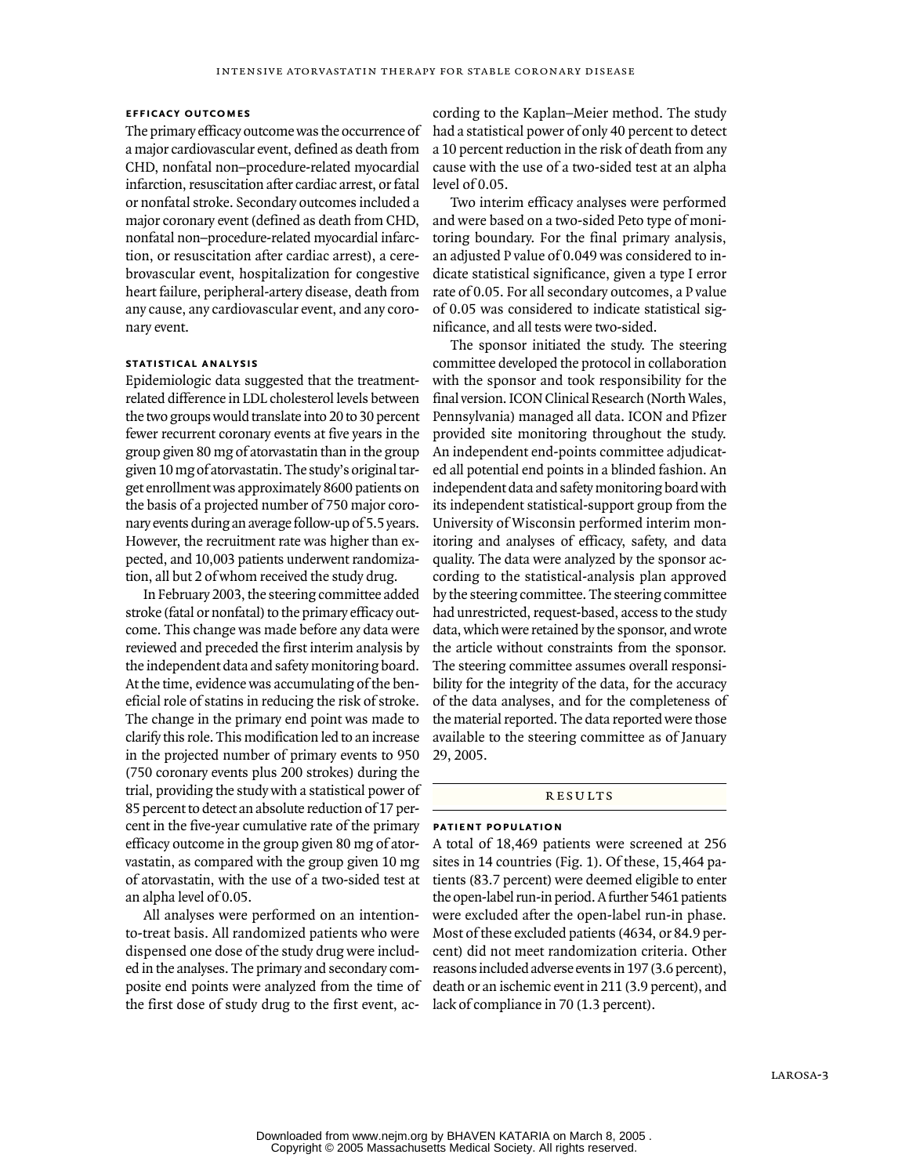# **efficacy outcomes**

The primary efficacy outcome was the occurrence of a major cardiovascular event, defined as death from CHD, nonfatal non–procedure-related myocardial infarction, resuscitation after cardiac arrest, or fatal or nonfatal stroke. Secondary outcomes included a major coronary event (defined as death from CHD, nonfatal non–procedure-related myocardial infarction, or resuscitation after cardiac arrest), a cerebrovascular event, hospitalization for congestive heart failure, peripheral-artery disease, death from any cause, any cardiovascular event, and any coronary event.

## **statistical analysis**

Epidemiologic data suggested that the treatmentrelated difference in LDL cholesterol levels between the two groups would translate into 20 to 30 percent fewer recurrent coronary events at five years in the group given 80 mg of atorvastatin than in the group given 10 mg of atorvastatin. The study's original target enrollment was approximately 8600 patients on the basis of a projected number of 750 major coronary events during an average follow-up of 5.5 years. However, the recruitment rate was higher than expected, and 10,003 patients underwent randomization, all but 2 of whom received the study drug.

In February 2003, the steering committee added stroke (fatal or nonfatal) to the primary efficacy outcome. This change was made before any data were reviewed and preceded the first interim analysis by the independent data and safety monitoring board. At the time, evidence was accumulating of the beneficial role of statins in reducing the risk of stroke. The change in the primary end point was made to clarify this role. This modification led to an increase in the projected number of primary events to 950 (750 coronary events plus 200 strokes) during the trial, providing the study with a statistical power of 85 percent to detect an absolute reduction of 17 percent in the five-year cumulative rate of the primary efficacy outcome in the group given 80 mg of atorvastatin, as compared with the group given 10 mg of atorvastatin, with the use of a two-sided test at an alpha level of 0.05.

All analyses were performed on an intentionto-treat basis. All randomized patients who were dispensed one dose of the study drug were included in the analyses. The primary and secondary composite end points were analyzed from the time of the first dose of study drug to the first event, ac-

cording to the Kaplan–Meier method. The study had a statistical power of only 40 percent to detect a 10 percent reduction in the risk of death from any cause with the use of a two-sided test at an alpha level of 0.05.

Two interim efficacy analyses were performed and were based on a two-sided Peto type of monitoring boundary. For the final primary analysis, an adjusted P value of 0.049 was considered to indicate statistical significance, given a type I error rate of 0.05. For all secondary outcomes, a P value of 0.05 was considered to indicate statistical significance, and all tests were two-sided.

The sponsor initiated the study. The steering committee developed the protocol in collaboration with the sponsor and took responsibility for the final version. ICON Clinical Research (North Wales, Pennsylvania) managed all data. ICON and Pfizer provided site monitoring throughout the study. An independent end-points committee adjudicated all potential end points in a blinded fashion. An independent data and safety monitoring board with its independent statistical-support group from the University of Wisconsin performed interim monitoring and analyses of efficacy, safety, and data quality. The data were analyzed by the sponsor according to the statistical-analysis plan approved by the steering committee. The steering committee had unrestricted, request-based, access to the study data, which were retained by the sponsor, and wrote the article without constraints from the sponsor. The steering committee assumes overall responsibility for the integrity of the data, for the accuracy of the data analyses, and for the completeness of the material reported. The data reported were those available to the steering committee as of January 29, 2005.

#### **RESULTS**

# **patient population**

A total of 18,469 patients were screened at 256 sites in 14 countries (Fig. 1). Of these, 15,464 patients (83.7 percent) were deemed eligible to enter the open-label run-in period. A further 5461 patients were excluded after the open-label run-in phase. Most of these excluded patients (4634, or 84.9 percent) did not meet randomization criteria. Other reasons included adverse events in 197 (3.6 percent), death or an ischemic event in 211 (3.9 percent), and lack of compliance in 70 (1.3 percent).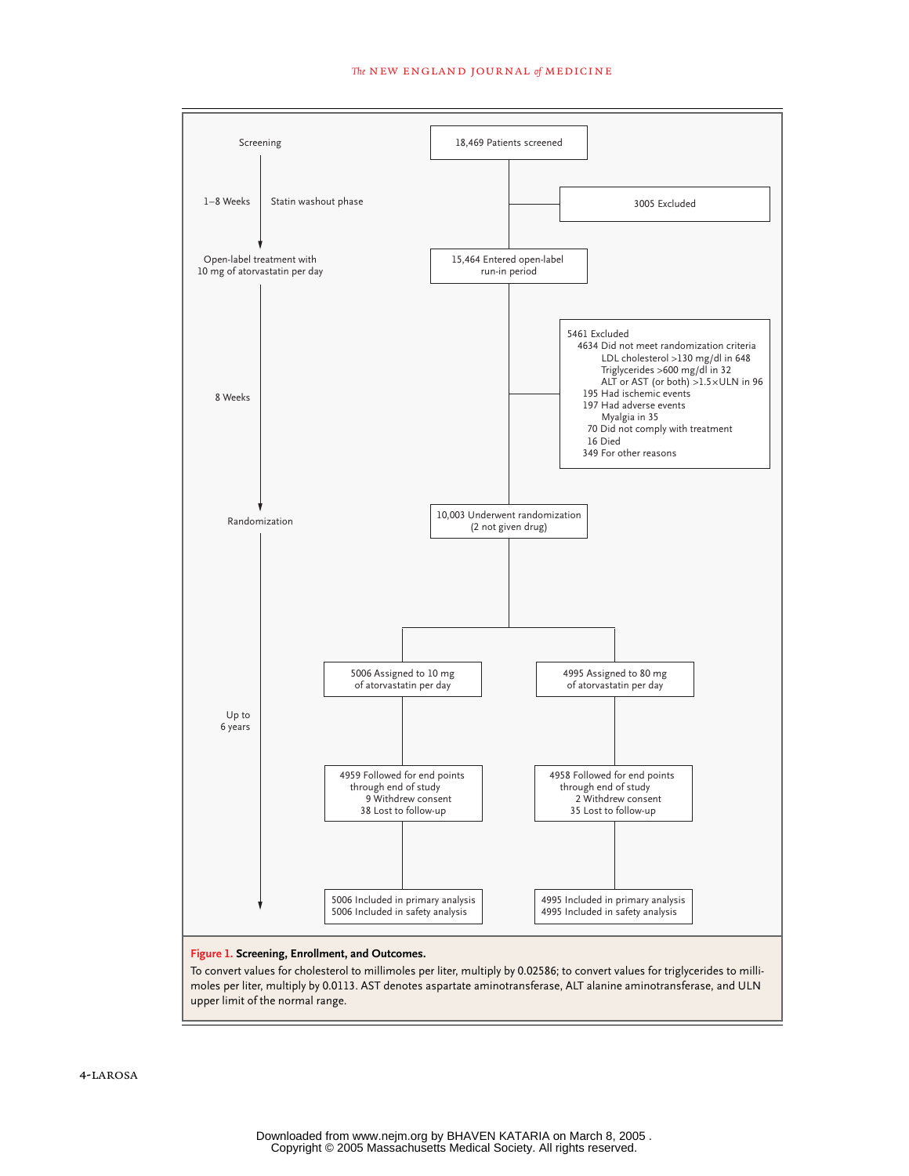#### *The* new england journal *of* medicine



To convert values for cholesterol to millimoles per liter, multiply by 0.02586; to convert values for triglycerides to millimoles per liter, multiply by 0.0113. AST denotes aspartate aminotransferase, ALT alanine aminotransferase, and ULN upper limit of the normal range.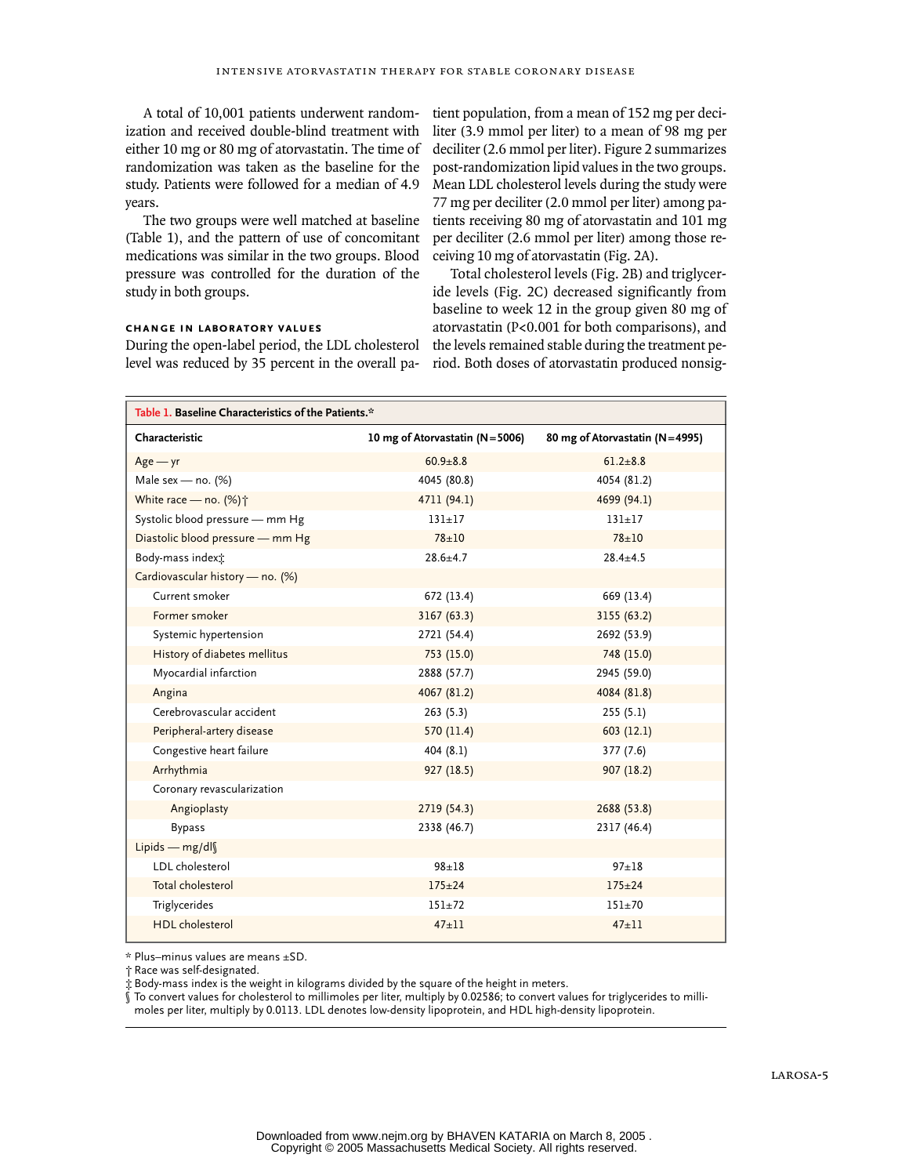A total of 10,001 patients underwent randomization and received double-blind treatment with either 10 mg or 80 mg of atorvastatin. The time of randomization was taken as the baseline for the study. Patients were followed for a median of 4.9 years.

The two groups were well matched at baseline (Table 1), and the pattern of use of concomitant medications was similar in the two groups. Blood pressure was controlled for the duration of the study in both groups.

# **change in laboratory values**

During the open-label period, the LDL cholesterol level was reduced by 35 percent in the overall pa-

tient population, from a mean of 152 mg per deciliter (3.9 mmol per liter) to a mean of 98 mg per deciliter (2.6 mmol per liter). Figure 2 summarizes post-randomization lipid values in the two groups. Mean LDL cholesterol levels during the study were 77 mg per deciliter (2.0 mmol per liter) among patients receiving 80 mg of atorvastatin and 101 mg per deciliter (2.6 mmol per liter) among those receiving 10 mg of atorvastatin (Fig. 2A).

Total cholesterol levels (Fig. 2B) and triglyceride levels (Fig. 2C) decreased significantly from baseline to week 12 in the group given 80 mg of atorvastatin (P<0.001 for both comparisons), and the levels remained stable during the treatment period. Both doses of atorvastatin produced nonsig-

| Table 1. Baseline Characteristics of the Patients.* |                                |                                |  |  |  |  |
|-----------------------------------------------------|--------------------------------|--------------------------------|--|--|--|--|
| Characteristic                                      | 10 mg of Atorvastatin (N=5006) | 80 mg of Atorvastatin (N=4995) |  |  |  |  |
| $Age - yr$                                          | $60.9 + 8.8$                   | $61.2 + 8.8$                   |  |  |  |  |
| Male sex - no. $(%)$                                | 4045 (80.8)                    | 4054 (81.2)                    |  |  |  |  |
| White race - no. $(\%)\uparrow$                     | 4711 (94.1)<br>4699 (94.1)     |                                |  |  |  |  |
| Systolic blood pressure - mm Hg                     | $131 \pm 17$                   | $131 \pm 17$                   |  |  |  |  |
| Diastolic blood pressure - mm Hg                    | $78 + 10$                      | $78 + 10$                      |  |  |  |  |
| Body-mass index <sup>+</sup>                        | $28.6 \pm 4.7$                 | $28.4 \pm 4.5$                 |  |  |  |  |
| Cardiovascular history - no. (%)                    |                                |                                |  |  |  |  |
| Current smoker                                      | 672 (13.4)                     | 669 (13.4)                     |  |  |  |  |
| Former smoker                                       | 3167(63.3)                     | 3155 (63.2)                    |  |  |  |  |
| Systemic hypertension                               | 2721 (54.4)                    | 2692 (53.9)                    |  |  |  |  |
| History of diabetes mellitus                        | 753 (15.0)                     | 748 (15.0)                     |  |  |  |  |
| Myocardial infarction                               | 2888 (57.7)                    | 2945 (59.0)                    |  |  |  |  |
| Angina                                              | 4067 (81.2)                    | 4084 (81.8)                    |  |  |  |  |
| Cerebrovascular accident                            | 263(5.3)                       | 255(5.1)                       |  |  |  |  |
| Peripheral-artery disease                           | 570 (11.4)                     | 603(12.1)                      |  |  |  |  |
| Congestive heart failure                            | 404(8.1)                       | 377 (7.6)                      |  |  |  |  |
| Arrhythmia                                          | 927(18.5)                      | 907(18.2)                      |  |  |  |  |
| Coronary revascularization                          |                                |                                |  |  |  |  |
| Angioplasty                                         | 2719 (54.3)                    | 2688 (53.8)                    |  |  |  |  |
| <b>Bypass</b>                                       | 2338 (46.7)                    | 2317 (46.4)                    |  |  |  |  |
| Lipids $-\frac{mg}{d}$                              |                                |                                |  |  |  |  |
| LDL cholesterol                                     | $98 + 18$                      | $97 \pm 18$                    |  |  |  |  |
| Total cholesterol                                   | $175 \pm 24$                   | $175 + 24$                     |  |  |  |  |
| Triglycerides                                       | $151 + 72$                     | $151 \pm 70$                   |  |  |  |  |
| <b>HDL</b> cholesterol                              | $47 + 11$                      | $47 + 11$                      |  |  |  |  |

\* Plus–minus values are means ±SD.

† Race was self-designated.

‡ Body-mass index is the weight in kilograms divided by the square of the height in meters.

§ To convert values for cholesterol to millimoles per liter, multiply by 0.02586; to convert values for triglycerides to milli-

moles per liter, multiply by 0.0113. LDL denotes low-density lipoprotein, and HDL high-density lipoprotein.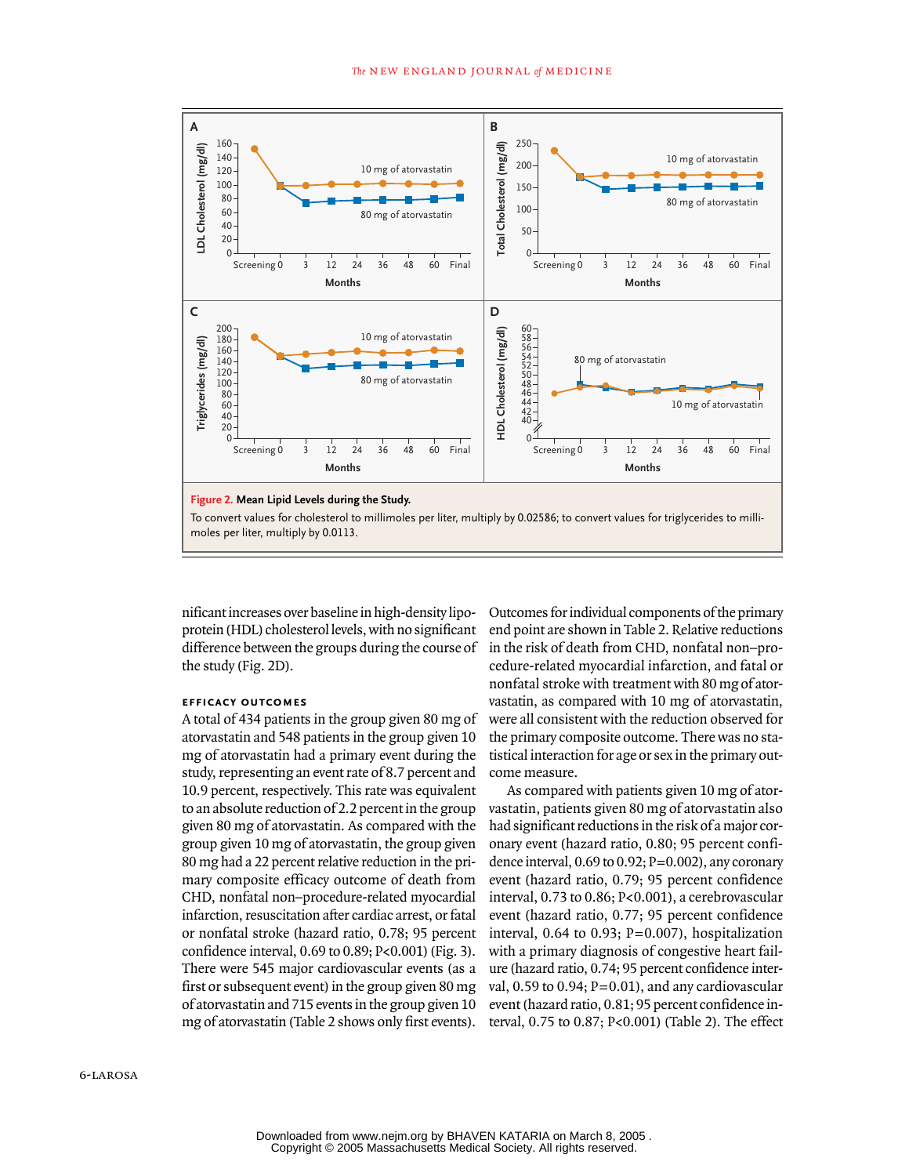

nificant increases over baseline in high-density lipoprotein (HDL) cholesterol levels, with no significant difference between the groups during the course of the study (Fig. 2D).

# **efficacy outcomes**

A total of 434 patients in the group given 80 mg of atorvastatin and 548 patients in the group given 10 mg of atorvastatin had a primary event during the study, representing an event rate of 8.7 percent and 10.9 percent, respectively. This rate was equivalent to an absolute reduction of 2.2 percent in the group given 80 mg of atorvastatin. As compared with the group given 10 mg of atorvastatin, the group given 80 mg had a 22 percent relative reduction in the primary composite efficacy outcome of death from CHD, nonfatal non–procedure-related myocardial infarction, resuscitation after cardiac arrest, or fatal or nonfatal stroke (hazard ratio, 0.78; 95 percent confidence interval, 0.69 to 0.89; P<0.001) (Fig. 3). There were 545 major cardiovascular events (as a first or subsequent event) in the group given 80 mg of atorvastatin and 715 events in the group given 10

Outcomes for individual components of the primary end point are shown in Table 2. Relative reductions in the risk of death from CHD, nonfatal non–procedure-related myocardial infarction, and fatal or nonfatal stroke with treatment with 80 mg of atorvastatin, as compared with 10 mg of atorvastatin, were all consistent with the reduction observed for the primary composite outcome. There was no statistical interaction for age or sex in the primary outcome measure.

mg of atorvastatin (Table 2 shows only first events). terval, 0.75 to 0.87; P<0.001) (Table 2). The effect As compared with patients given 10 mg of atorvastatin, patients given 80 mg of atorvastatin also had significant reductions in the risk of a major coronary event (hazard ratio, 0.80; 95 percent confidence interval,  $0.69$  to  $0.92$ ;  $P=0.002$ ), any coronary event (hazard ratio, 0.79; 95 percent confidence interval, 0.73 to 0.86; P<0.001), a cerebrovascular event (hazard ratio, 0.77; 95 percent confidence interval,  $0.64$  to  $0.93$ ;  $P=0.007$ ), hospitalization with a primary diagnosis of congestive heart failure (hazard ratio, 0.74; 95 percent confidence interval,  $0.59$  to  $0.94$ ;  $P=0.01$ ), and any cardiovascular event (hazard ratio, 0.81; 95 percent confidence in-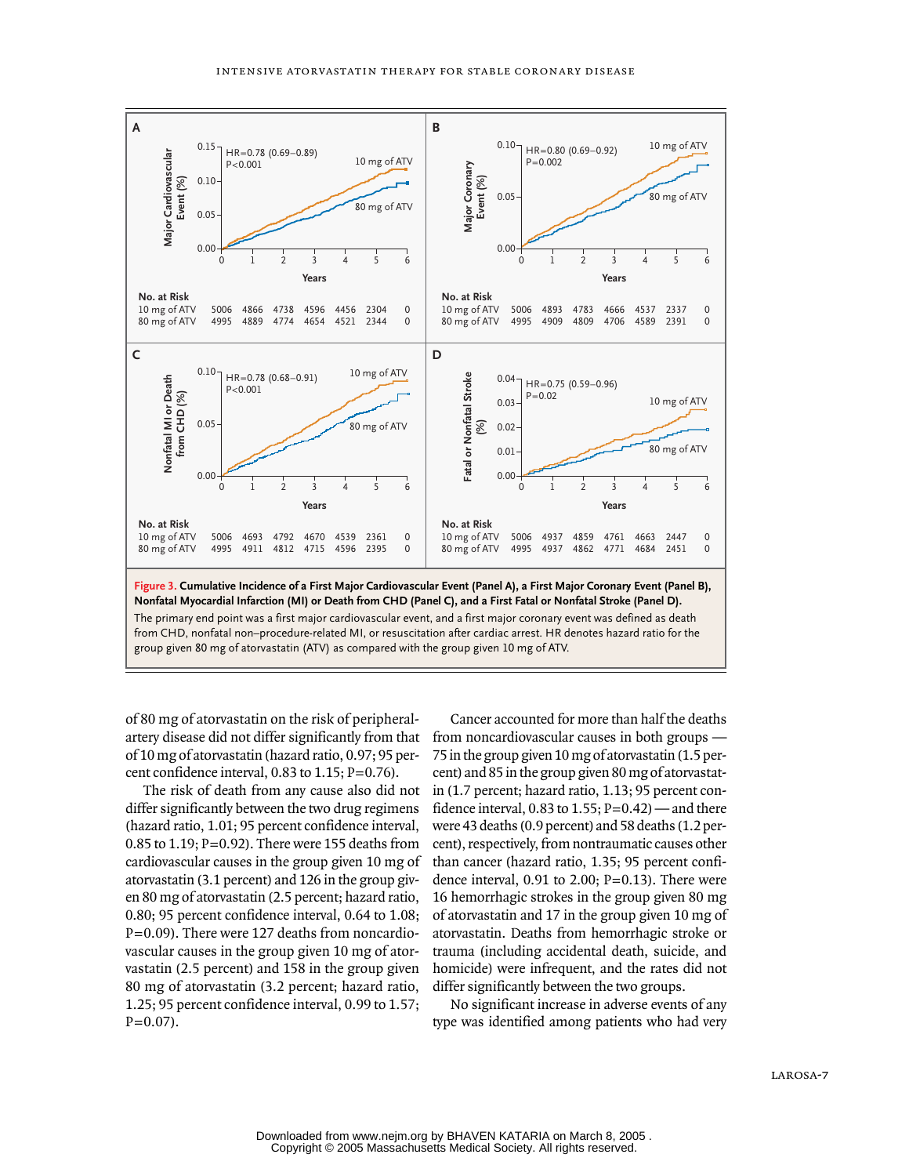

of 80 mg of atorvastatin on the risk of peripheralartery disease did not differ significantly from that of 10 mg of atorvastatin (hazard ratio, 0.97; 95 percent confidence interval, 0.83 to 1.15; P=0.76).

The risk of death from any cause also did not differ significantly between the two drug regimens (hazard ratio, 1.01; 95 percent confidence interval, 0.85 to 1.19; P=0.92). There were 155 deaths from cardiovascular causes in the group given 10 mg of atorvastatin (3.1 percent) and 126 in the group given 80 mg of atorvastatin (2.5 percent; hazard ratio, 0.80; 95 percent confidence interval, 0.64 to 1.08; P=0.09). There were 127 deaths from noncardiovascular causes in the group given 10 mg of atorvastatin (2.5 percent) and 158 in the group given 80 mg of atorvastatin (3.2 percent; hazard ratio, 1.25; 95 percent confidence interval, 0.99 to 1.57;  $P=0.07$ ).

Cancer accounted for more than half the deaths from noncardiovascular causes in both groups — 75 in the group given 10 mg of atorvastatin (1.5 percent) and 85 in the group given 80 mg of atorvastatin (1.7 percent; hazard ratio, 1.13; 95 percent confidence interval, 0.83 to  $1.55$ ;  $P=0.42$ ) — and there were 43 deaths (0.9 percent) and 58 deaths (1.2 percent), respectively, from nontraumatic causes other than cancer (hazard ratio, 1.35; 95 percent confidence interval,  $0.91$  to  $2.00$ ;  $P=0.13$ ). There were 16 hemorrhagic strokes in the group given 80 mg of atorvastatin and 17 in the group given 10 mg of atorvastatin. Deaths from hemorrhagic stroke or trauma (including accidental death, suicide, and homicide) were infrequent, and the rates did not differ significantly between the two groups.

No significant increase in adverse events of any type was identified among patients who had very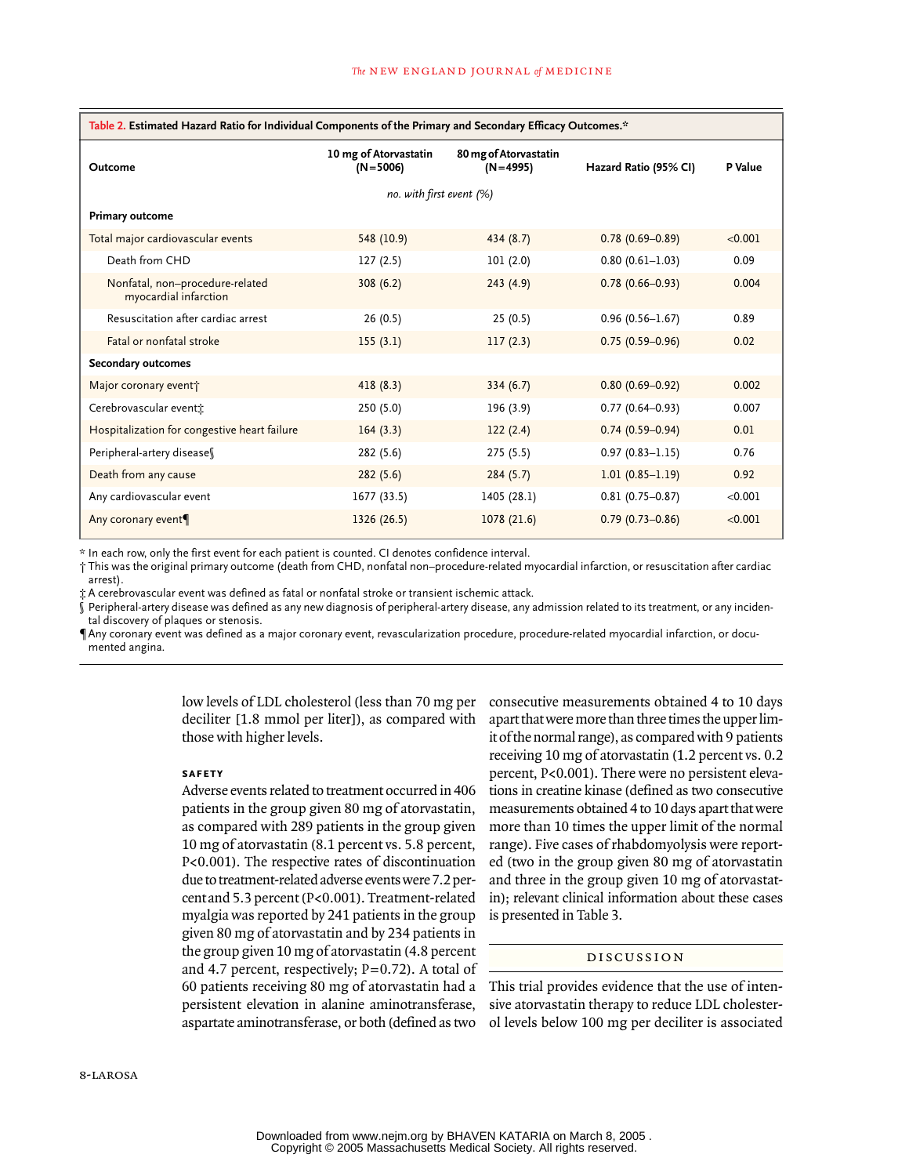| Table 2. Estimated Hazard Ratio for Individual Components of the Primary and Secondary Efficacy Outcomes.* |                                     |                                     |                       |         |  |  |  |  |
|------------------------------------------------------------------------------------------------------------|-------------------------------------|-------------------------------------|-----------------------|---------|--|--|--|--|
| Outcome                                                                                                    | 10 mg of Atorvastatin<br>$(N=5006)$ | 80 mg of Atorvastatin<br>$(N=4995)$ | Hazard Ratio (95% CI) | P Value |  |  |  |  |
| no. with first event (%)                                                                                   |                                     |                                     |                       |         |  |  |  |  |
| <b>Primary outcome</b>                                                                                     |                                     |                                     |                       |         |  |  |  |  |
| Total major cardiovascular events                                                                          | 548 (10.9)                          | 434(8.7)                            | $0.78(0.69 - 0.89)$   | < 0.001 |  |  |  |  |
| Death from CHD                                                                                             | 127(2.5)                            | 101(2.0)                            | $0.80(0.61 - 1.03)$   | 0.09    |  |  |  |  |
| Nonfatal, non-procedure-related<br>myocardial infarction                                                   | 308(6.2)                            | 243(4.9)                            | $0.78(0.66 - 0.93)$   | 0.004   |  |  |  |  |
| Resuscitation after cardiac arrest                                                                         | 26(0.5)                             | 25(0.5)                             | $0.96(0.56 - 1.67)$   | 0.89    |  |  |  |  |
| Fatal or nonfatal stroke                                                                                   | 155(3.1)                            | 117(2.3)                            | $0.75(0.59 - 0.96)$   | 0.02    |  |  |  |  |
| Secondary outcomes                                                                                         |                                     |                                     |                       |         |  |  |  |  |
| Major coronary event <sup>+</sup>                                                                          | 418(8.3)                            | 334(6.7)                            | $0.80(0.69 - 0.92)$   | 0.002   |  |  |  |  |
| Cerebrovascular event*                                                                                     | 250(5.0)                            | 196 (3.9)                           | $0.77(0.64 - 0.93)$   | 0.007   |  |  |  |  |
| Hospitalization for congestive heart failure                                                               | 164(3.3)                            | 122(2.4)                            | $0.74(0.59 - 0.94)$   | 0.01    |  |  |  |  |
| Peripheral-artery diseases                                                                                 | 282 (5.6)                           | 275 (5.5)                           | $0.97(0.83 - 1.15)$   | 0.76    |  |  |  |  |
| Death from any cause                                                                                       | 282(5.6)                            | 284(5.7)                            | $1.01(0.85 - 1.19)$   | 0.92    |  |  |  |  |
| Any cardiovascular event                                                                                   | 1677 (33.5)                         | 1405 (28.1)                         | $0.81(0.75 - 0.87)$   | < 0.001 |  |  |  |  |
| Any coronary event                                                                                         | 1326 (26.5)                         | 1078 (21.6)                         | $0.79(0.73 - 0.86)$   | < 0.001 |  |  |  |  |

\* In each row, only the first event for each patient is counted. CI denotes confidence interval.

† This was the original primary outcome (death from CHD, nonfatal non–procedure-related myocardial infarction, or resuscitation after cardiac arrest).

‡ A cerebrovascular event was defined as fatal or nonfatal stroke or transient ischemic attack.

Peripheral-artery disease was defined as any new diagnosis of peripheral-artery disease, any admission related to its treatment, or any incidental discovery of plaques or stenosis.

¶Any coronary event was defined as a major coronary event, revascularization procedure, procedure-related myocardial infarction, or documented angina.

> low levels of LDL cholesterol (less than 70 mg per deciliter [1.8 mmol per liter]), as compared with those with higher levels.

#### **safety**

Adverse events related to treatment occurred in 406 patients in the group given 80 mg of atorvastatin, as compared with 289 patients in the group given 10 mg of atorvastatin (8.1 percent vs. 5.8 percent, P<0.001). The respective rates of discontinuation due to treatment-related adverse events were 7.2 percent and 5.3 percent (P<0.001). Treatment-related myalgia was reported by 241 patients in the group given 80 mg of atorvastatin and by 234 patients in the group given 10 mg of atorvastatin (4.8 percent and 4.7 percent, respectively;  $P=0.72$ ). A total of 60 patients receiving 80 mg of atorvastatin had a persistent elevation in alanine aminotransferase,

consecutive measurements obtained 4 to 10 days apart that were more than three times the upper limit of the normal range), as compared with 9 patients receiving 10 mg of atorvastatin (1.2 percent vs. 0.2 percent, P<0.001). There were no persistent elevations in creatine kinase (defined as two consecutive measurements obtained 4 to 10 days apart that were more than 10 times the upper limit of the normal range). Five cases of rhabdomyolysis were reported (two in the group given 80 mg of atorvastatin and three in the group given 10 mg of atorvastatin); relevant clinical information about these cases is presented in Table 3.

## discussion

aspartate aminotransferase, or both (defined as two ol levels below 100 mg per deciliter is associated This trial provides evidence that the use of intensive atorvastatin therapy to reduce LDL cholester-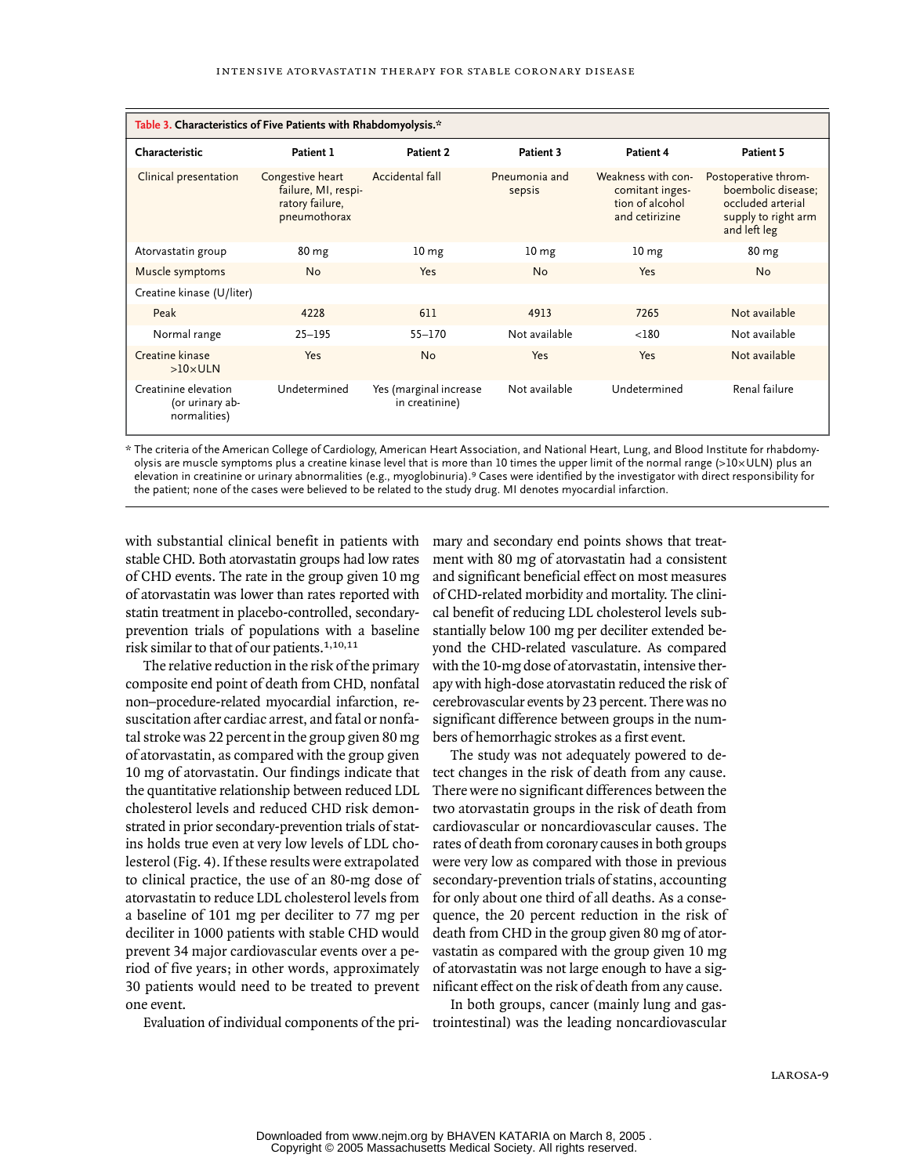| Table 3. Characteristics of Five Patients with Rhabdomyolysis.* |                                                                            |                                          |                         |                                                                            |                                                                                                        |  |  |  |
|-----------------------------------------------------------------|----------------------------------------------------------------------------|------------------------------------------|-------------------------|----------------------------------------------------------------------------|--------------------------------------------------------------------------------------------------------|--|--|--|
| Characteristic                                                  | Patient 1                                                                  | Patient 2                                | Patient 3               | Patient 4                                                                  | Patient 5                                                                                              |  |  |  |
| Clinical presentation                                           | Congestive heart<br>failure, MI, respi-<br>ratory failure,<br>pneumothorax | Accidental fall                          | Pneumonia and<br>sepsis | Weakness with con-<br>comitant inges-<br>tion of alcohol<br>and cetirizine | Postoperative throm-<br>boembolic disease;<br>occluded arterial<br>supply to right arm<br>and left leg |  |  |  |
| Atorvastatin group                                              | $80 \, \text{mg}$                                                          | 10 <sub>mg</sub>                         | 10 <sub>mg</sub>        | 10 <sub>mg</sub>                                                           | $80 \, \text{mg}$                                                                                      |  |  |  |
| Muscle symptoms                                                 | <b>No</b>                                                                  | Yes                                      | <b>No</b>               | <b>Yes</b>                                                                 | <b>No</b>                                                                                              |  |  |  |
| Creatine kinase (U/liter)                                       |                                                                            |                                          |                         |                                                                            |                                                                                                        |  |  |  |
| Peak                                                            | 4228                                                                       | 611                                      | 4913                    | 7265                                                                       | Not available                                                                                          |  |  |  |
| Normal range                                                    | $25 - 195$                                                                 | $55 - 170$                               | Not available           | < 180                                                                      | Not available                                                                                          |  |  |  |
| Creatine kinase<br>$>10\times$ ULN                              | Yes                                                                        | <b>No</b>                                | Yes                     | Yes                                                                        | Not available                                                                                          |  |  |  |
| Creatinine elevation<br>(or urinary ab-<br>normalities)         | Undetermined                                                               | Yes (marginal increase<br>in creatinine) | Not available           | Undetermined                                                               | Renal failure                                                                                          |  |  |  |

\* The criteria of the American College of Cardiology, American Heart Association, and National Heart, Lung, and Blood Institute for rhabdomyolysis are muscle symptoms plus a creatine kinase level that is more than 10 times the upper limit of the normal range (>10 $\times$ ULN) plus an elevation in creatinine or urinary abnormalities (e.g., myoglobinuria).9 Cases were identified by the investigator with direct responsibility for the patient; none of the cases were believed to be related to the study drug. MI denotes myocardial infarction.

with substantial clinical benefit in patients with stable CHD. Both atorvastatin groups had low rates of CHD events. The rate in the group given 10 mg of atorvastatin was lower than rates reported with statin treatment in placebo-controlled, secondaryprevention trials of populations with a baseline risk similar to that of our patients.<sup>1,10,11</sup>

The relative reduction in the risk of the primary composite end point of death from CHD, nonfatal non–procedure-related myocardial infarction, resuscitation after cardiac arrest, and fatal or nonfatal stroke was 22 percent in the group given 80 mg of atorvastatin, as compared with the group given 10 mg of atorvastatin. Our findings indicate that the quantitative relationship between reduced LDL cholesterol levels and reduced CHD risk demonstrated in prior secondary-prevention trials of statins holds true even at very low levels of LDL cholesterol (Fig. 4). If these results were extrapolated to clinical practice, the use of an 80-mg dose of atorvastatin to reduce LDL cholesterol levels from a baseline of 101 mg per deciliter to 77 mg per deciliter in 1000 patients with stable CHD would prevent 34 major cardiovascular events over a period of five years; in other words, approximately 30 patients would need to be treated to prevent one event.

mary and secondary end points shows that treatment with 80 mg of atorvastatin had a consistent and significant beneficial effect on most measures of CHD-related morbidity and mortality. The clinical benefit of reducing LDL cholesterol levels substantially below 100 mg per deciliter extended beyond the CHD-related vasculature. As compared with the 10-mg dose of atorvastatin, intensive therapy with high-dose atorvastatin reduced the risk of cerebrovascular events by 23 percent. There was no significant difference between groups in the numbers of hemorrhagic strokes as a first event.

The study was not adequately powered to detect changes in the risk of death from any cause. There were no significant differences between the two atorvastatin groups in the risk of death from cardiovascular or noncardiovascular causes. The rates of death from coronary causes in both groups were very low as compared with those in previous secondary-prevention trials of statins, accounting for only about one third of all deaths. As a consequence, the 20 percent reduction in the risk of death from CHD in the group given 80 mg of atorvastatin as compared with the group given 10 mg of atorvastatin was not large enough to have a significant effect on the risk of death from any cause.

Evaluation of individual components of the pri-trointestinal) was the leading noncardiovascular In both groups, cancer (mainly lung and gas-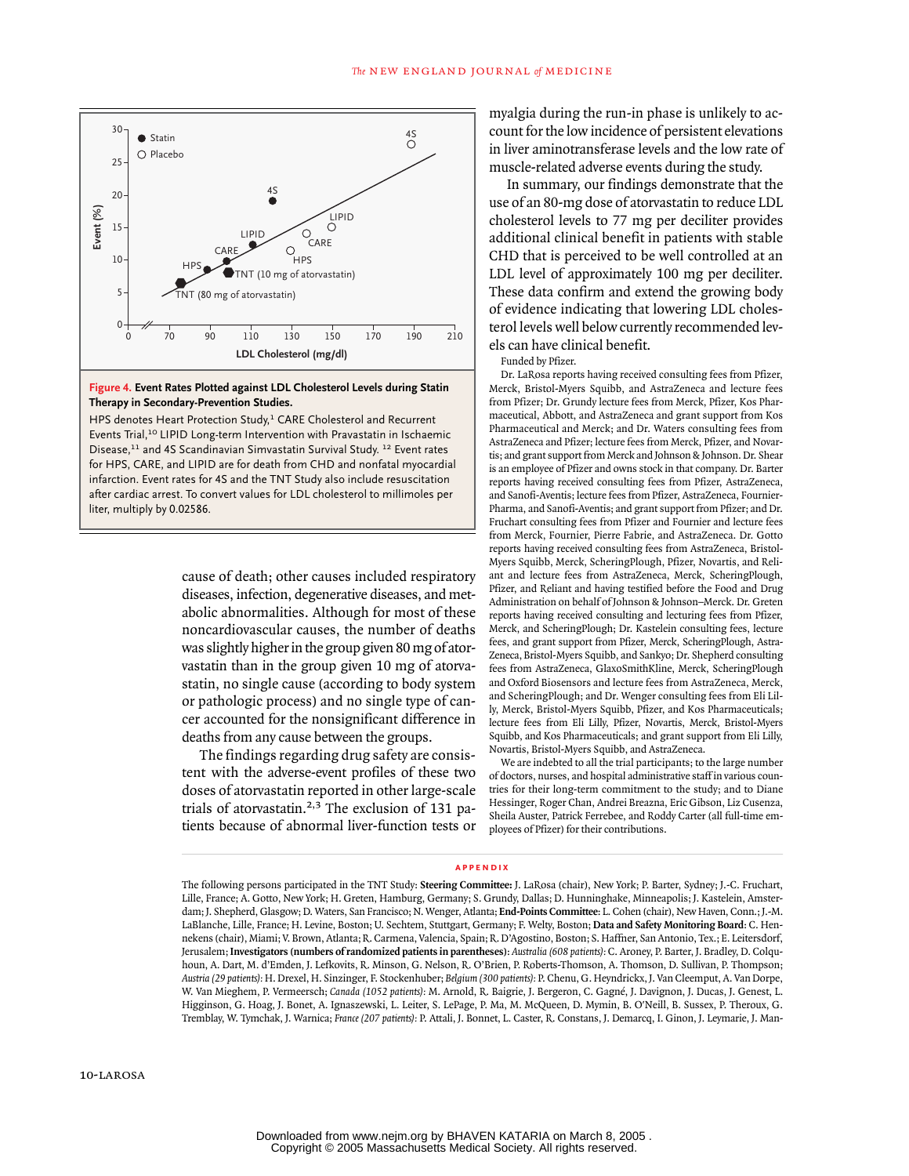

#### **Figure 4. Event Rates Plotted against LDL Cholesterol Levels during Statin Therapy in Secondary-Prevention Studies.**

HPS denotes Heart Protection Study,<sup>1</sup> CARE Cholesterol and Recurrent Events Trial,<sup>10</sup> LIPID Long-term Intervention with Pravastatin in Ischaemic Disease,<sup>11</sup> and 4S Scandinavian Simvastatin Survival Study.<sup>12</sup> Event rates for HPS, CARE, and LIPID are for death from CHD and nonfatal myocardial infarction. Event rates for 4S and the TNT Study also include resuscitation after cardiac arrest. To convert values for LDL cholesterol to millimoles per liter, multiply by 0.02586.

> cause of death; other causes included respiratory diseases, infection, degenerative diseases, and metabolic abnormalities. Although for most of these noncardiovascular causes, the number of deaths was slightly higher in the group given 80 mg of atorvastatin than in the group given 10 mg of atorvastatin, no single cause (according to body system or pathologic process) and no single type of cancer accounted for the nonsignificant difference in deaths from any cause between the groups.

> The findings regarding drug safety are consistent with the adverse-event profiles of these two doses of atorvastatin reported in other large-scale trials of atorvastatin.<sup>2,3</sup> The exclusion of 131 patients because of abnormal liver-function tests or

myalgia during the run-in phase is unlikely to account for the low incidence of persistent elevations in liver aminotransferase levels and the low rate of muscle-related adverse events during the study.

In summary, our findings demonstrate that the use of an 80-mg dose of atorvastatin to reduce LDL cholesterol levels to 77 mg per deciliter provides additional clinical benefit in patients with stable CHD that is perceived to be well controlled at an LDL level of approximately 100 mg per deciliter. These data confirm and extend the growing body of evidence indicating that lowering LDL cholesterol levels well below currently recommended levels can have clinical benefit.

Funded by Pfizer.

Dr. LaRosa reports having received consulting fees from Pfizer, Merck, Bristol-Myers Squibb, and AstraZeneca and lecture fees from Pfizer; Dr. Grundy lecture fees from Merck, Pfizer, Kos Pharmaceutical, Abbott, and AstraZeneca and grant support from Kos Pharmaceutical and Merck; and Dr. Waters consulting fees from AstraZeneca and Pfizer; lecture fees from Merck, Pfizer, and Novartis; and grant support from Merck and Johnson & Johnson. Dr. Shear is an employee of Pfizer and owns stock in that company. Dr. Barter reports having received consulting fees from Pfizer, AstraZeneca, and Sanofi-Aventis; lecture fees from Pfizer, AstraZeneca, Fournier-Pharma, and Sanofi-Aventis; and grant support from Pfizer; and Dr. Fruchart consulting fees from Pfizer and Fournier and lecture fees from Merck, Fournier, Pierre Fabrie, and AstraZeneca. Dr. Gotto reports having received consulting fees from AstraZeneca, Bristol-Myers Squibb, Merck, ScheringPlough, Pfizer, Novartis, and Reliant and lecture fees from AstraZeneca, Merck, ScheringPlough, Pfizer, and Reliant and having testified before the Food and Drug Administration on behalf of Johnson & Johnson–Merck. Dr. Greten reports having received consulting and lecturing fees from Pfizer, Merck, and ScheringPlough; Dr. Kastelein consulting fees, lecture fees, and grant support from Pfizer, Merck, ScheringPlough, Astra-Zeneca, Bristol-Myers Squibb, and Sankyo; Dr. Shepherd consulting fees from AstraZeneca, GlaxoSmithKline, Merck, ScheringPlough and Oxford Biosensors and lecture fees from AstraZeneca, Merck, and ScheringPlough; and Dr. Wenger consulting fees from Eli Lilly, Merck, Bristol-Myers Squibb, Pfizer, and Kos Pharmaceuticals; lecture fees from Eli Lilly, Pfizer, Novartis, Merck, Bristol-Myers Squibb, and Kos Pharmaceuticals; and grant support from Eli Lilly, Novartis, Bristol-Myers Squibb, and AstraZeneca.

We are indebted to all the trial participants; to the large number of doctors, nurses, and hospital administrative staff in various countries for their long-term commitment to the study; and to Diane Hessinger, Roger Chan, Andrei Breazna, Eric Gibson, Liz Cusenza, Sheila Auster, Patrick Ferrebee, and Roddy Carter (all full-time employees of Pfizer) for their contributions.

#### **appendix**

The following persons participated in the TNT Study: **Steering Committee:** J. LaRosa (chair), New York; P. Barter, Sydney; J.-C. Fruchart, Lille, France; A. Gotto, New York; H. Greten, Hamburg, Germany; S. Grundy, Dallas; D. Hunninghake, Minneapolis; J. Kastelein, Amsterdam; J. Shepherd, Glasgow; D. Waters, San Francisco; N. Wenger, Atlanta; **End-Points Committee**: L. Cohen (chair), New Haven, Conn.; J.-M. LaBlanche, Lille, France; H. Levine, Boston; U. Sechtem, Stuttgart, Germany; F. Welty, Boston; **Data and Safety Monitoring Board**: C. Hennekens (chair), Miami; V. Brown, Atlanta; R. Carmena, Valencia, Spain; R. D'Agostino, Boston; S. Haffner, San Antonio, Tex.; E. Leitersdorf, Jerusalem; **Investigators (numbers of randomized patients in parentheses)**: *Australia (608 patients):* C. Aroney, P. Barter, J. Bradley, D. Colquhoun, A. Dart, M. d'Emden, J. Lefkovits, R. Minson, G. Nelson, R. O'Brien, P. Roberts-Thomson, A. Thomson, D. Sullivan, P. Thompson; *Austria (29 patients):* H. Drexel, H. Sinzinger, F. Stockenhuber; *Belgium (300 patients):* P. Chenu, G. Heyndrickx, J. Van Cleemput, A. Van Dorpe, W. Van Mieghem, P. Vermeersch; *Canada (1052 patients):* M. Arnold, R. Baigrie, J. Bergeron, C. Gagné, J. Davignon, J. Ducas, J. Genest, L. Higginson, G. Hoag, J. Bonet, A. Ignaszewski, L. Leiter, S. LePage, P. Ma, M. McQueen, D. Mymin, B. O'Neill, B. Sussex, P. Theroux, G. Tremblay, W. Tymchak, J. Warnica; *France (207 patients):* P. Attali, J. Bonnet, L. Caster, R. Constans, J. Demarcq, I. Ginon, J. Leymarie, J. Man-